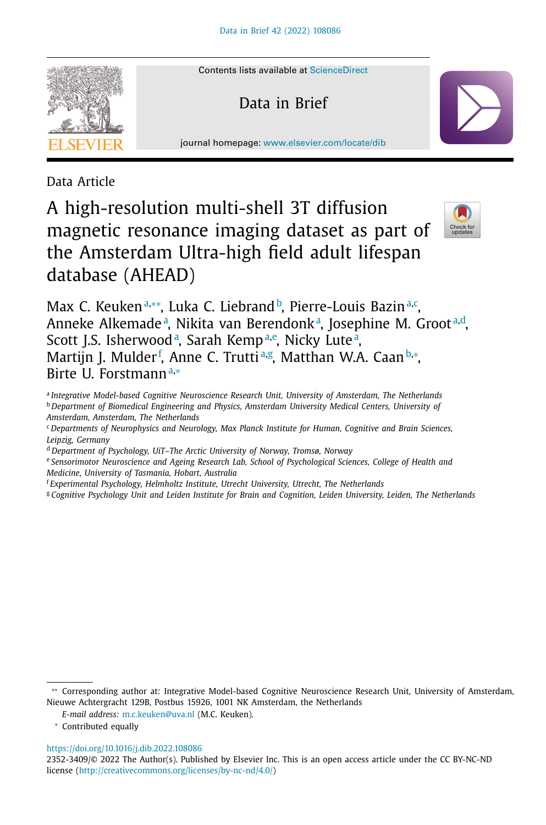

Contents lists available at [ScienceDirect](http://www.ScienceDirect.com)

Data in Brief

journal homepage: [www.elsevier.com/locate/dib](http://www.elsevier.com/locate/dib)

Data Article

# A high-resolution multi-shell 3T diffusion magnetic resonance imaging dataset as part of the Amsterdam Ultra-high field adult lifespan database (AHEAD)



Max C. Keukenª,\*\*, Luka C. Liebrand b, Pierre-Louis Bazinª,¢, Anneke Alkemade<sup>a</sup>, Nikita van Berendonk<sup>a</sup>, Josephine M. Groot<sup>a,d</sup>, Scott J.S. Isherwood<sup>a</sup>, Sarah Kemp<sup>a,e</sup>, Nicky Lute<sup>a</sup>, Martijn J. Mulder<sup>f</sup>, Anne C. Trutti<sup>a,g</sup>, Matthan W.A. Caan<sup>b,</sup>\*, Birte U. Forstmann<sup>a,∗</sup>

<sup>a</sup> *Integrative Model-based Cognitive Neuroscience Research Unit, University of Amsterdam, The Netherlands* <sup>b</sup> *Department of Biomedical Engineering and Physics, Amsterdam University Medical Centers, University of Amsterdam, Amsterdam, The Netherlands*

- <sup>c</sup> *Departments of Neurophysics and Neurology, Max Planck Institute for Human, Cognitive and Brain Sciences, Leipzig, Germany*
- <sup>d</sup> *Department of Psychology, UiT–The Arctic University of Norway, Tromsø, Norway*

<sup>e</sup> *Sensorimotor Neuroscience and Ageing Research Lab, School of Psychological Sciences, College of Health and Medicine, University of Tasmania, Hobart, Australia*

- <sup>f</sup> *Experimental Psychology, Helmholtz Institute, Utrecht University, Utrecht, The Netherlands*
- <sup>g</sup> *Cognitive Psychology Unit and Leiden Institute for Brain and Cognition, Leiden University, Leiden, The Netherlands*

∗∗ Corresponding author at: Integrative Model-based Cognitive Neuroscience Research Unit, University of Amsterdam, Nieuwe Achtergracht 129B, Postbus 15926, 1001 NK Amsterdam, the Netherlands

*E-mail address:* [m.c.keuken@uva.nl](mailto:m.c.keuken@uva.nl) (M.C. Keuken).

<sup>∗</sup> Contributed equally

<https://doi.org/10.1016/j.dib.2022.108086>

<sup>2352-3409/© 2022</sup> The Author(s). Published by Elsevier Inc. This is an open access article under the CC BY-NC-ND license [\(http://creativecommons.org/licenses/by-nc-nd/4.0/\)](http://creativecommons.org/licenses/by-nc-nd/4.0/)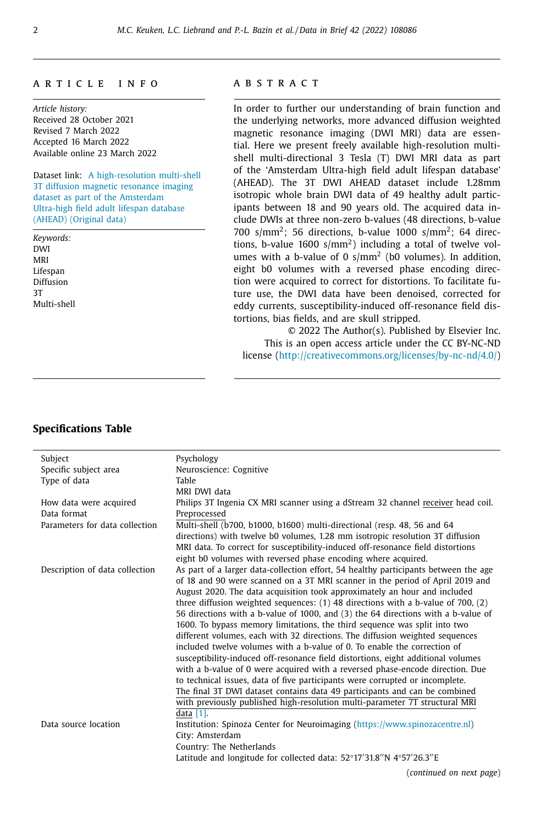#### a r t i c l e i n f o

*Article history:* Received 28 October 2021 Revised 7 March 2022 Accepted 16 March 2022 Available online 23 March 2022

Dataset link: A [high-resolution](https://uvaauas.figshare.com/projects/A_high-resolution_multi-shell_3T_diffusion_magnetic_resonance_imaging_dataset_as_part_of_the_Amsterdam_Ultra-high_field_adult_lifespan_database_AHEAD_/125377) multi-shell 3T diffusion magnetic resonance imaging dataset as part of the Amsterdam Ultra-high field adult lifespan database (AHEAD) (Original data)

*Keywords:* DWI MRI Lifespan Diffusion 3T Multi-shell

### A B S T R A C T

In order to further our understanding of brain function and the underlying networks, more advanced diffusion weighted magnetic resonance imaging (DWI MRI) data are essential. Here we present freely available high-resolution multishell multi-directional 3 Tesla (T) DWI MRI data as part of the 'Amsterdam Ultra-high field adult lifespan database' (AHEAD). The 3T DWI AHEAD dataset include 1.28mm isotropic whole brain DWI data of 49 healthy adult participants between 18 and 90 years old. The acquired data include DWIs at three non-zero b-values (48 directions, b-value 700 s/mm<sup>2</sup>; 56 directions, b-value 1000 s/mm<sup>2</sup>; 64 directions, b-value  $1600 \text{ s/mm}^2$ ) including a total of twelve volumes with a b-value of 0  $s/mm^2$  (b0 volumes). In addition, eight b0 volumes with a reversed phase encoding direction were acquired to correct for distortions. To facilitate future use, the DWI data have been denoised, corrected for eddy currents, susceptibility-induced off-resonance field distortions, bias fields, and are skull stripped.

© 2022 The Author(s). Published by Elsevier Inc. This is an open access article under the CC BY-NC-ND license [\(http://creativecommons.org/licenses/by-nc-nd/4.0/\)](http://creativecommons.org/licenses/by-nc-nd/4.0/)

## **Specifications Table**

| Subject                        | Psychology                                                                           |  |
|--------------------------------|--------------------------------------------------------------------------------------|--|
| Specific subject area          | Neuroscience: Cognitive                                                              |  |
| Type of data                   | Table                                                                                |  |
|                                | MRI DWI data                                                                         |  |
| How data were acquired         | Philips 3T Ingenia CX MRI scanner using a dStream 32 channel receiver head coil.     |  |
| Data format                    | Preprocessed                                                                         |  |
| Parameters for data collection | Multi-shell (b700, b1000, b1600) multi-directional (resp. 48, 56 and 64              |  |
|                                | directions) with twelve b0 volumes, 1.28 mm isotropic resolution 3T diffusion        |  |
|                                | MRI data. To correct for susceptibility-induced off-resonance field distortions      |  |
|                                | eight b0 volumes with reversed phase encoding where acquired.                        |  |
| Description of data collection | As part of a larger data-collection effort, 54 healthy participants between the age  |  |
|                                | of 18 and 90 were scanned on a 3T MRI scanner in the period of April 2019 and        |  |
|                                | August 2020. The data acquisition took approximately an hour and included            |  |
|                                | three diffusion weighted sequences: $(1)$ 48 directions with a b-value of 700, $(2)$ |  |
|                                | 56 directions with a b-value of 1000, and (3) the 64 directions with a b-value of    |  |
|                                | 1600. To bypass memory limitations, the third sequence was split into two            |  |
|                                | different volumes, each with 32 directions. The diffusion weighted sequences         |  |
|                                | included twelve volumes with a b-value of 0. To enable the correction of             |  |
|                                | susceptibility-induced off-resonance field distortions, eight additional volumes     |  |
|                                | with a b-value of 0 were acquired with a reversed phase-encode direction. Due        |  |
|                                | to technical issues, data of five participants were corrupted or incomplete.         |  |
|                                | The final 3T DWI dataset contains data 49 participants and can be combined           |  |
|                                | with previously published high-resolution multi-parameter 7T structural MRI          |  |
|                                | data $[1]$ .                                                                         |  |
| Data source location           | Institution: Spinoza Center for Neuroimaging (https://www.spinozacentre.nl)          |  |
|                                | City: Amsterdam                                                                      |  |
|                                | Country: The Netherlands                                                             |  |
|                                | Latitude and longitude for collected data: 52°17′31.8″N 4°57′26.3″E                  |  |
|                                | (continued on next page)                                                             |  |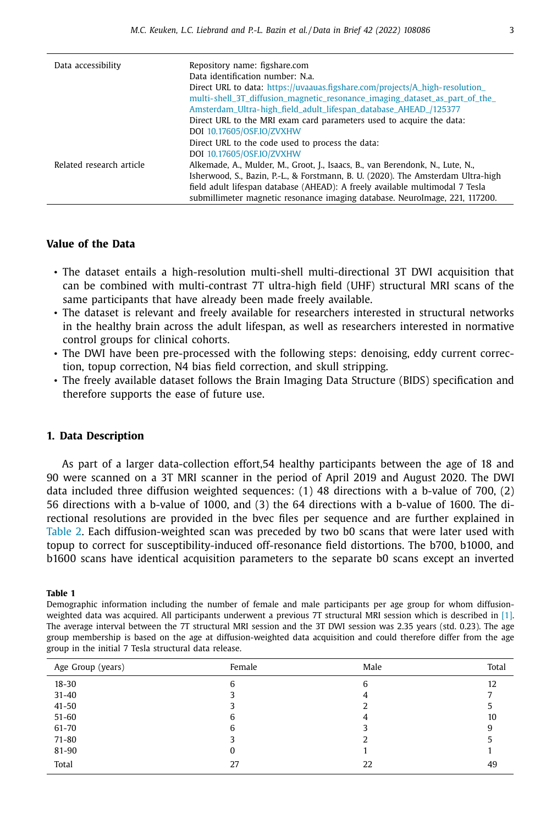<span id="page-2-0"></span>

| Data accessibility       | Repository name: figshare.com                                                    |
|--------------------------|----------------------------------------------------------------------------------|
|                          | Data identification number: N.a.                                                 |
|                          | Direct URL to data: https://uvaauas.figshare.com/projects/A_high-resolution_     |
|                          | multi-shell_3T_diffusion_magnetic_resonance_imaging_dataset_as_part_of_the_      |
|                          | Amsterdam_Ultra-high_field_adult_lifespan_database_AHEAD_/125377                 |
|                          | Direct URL to the MRI exam card parameters used to acquire the data:             |
|                          | DOI 10.17605/OSF.IO/ZVXHW                                                        |
|                          | Direct URL to the code used to process the data:                                 |
|                          | DOI 10.17605/OSF.IO/ZVXHW                                                        |
| Related research article | Alkemade, A., Mulder, M., Groot, J., Isaacs, B., van Berendonk, N., Lute, N.,    |
|                          | Isherwood, S., Bazin, P.-L., & Forstmann, B. U. (2020). The Amsterdam Ultra-high |
|                          | field adult lifespan database (AHEAD): A freely available multimodal 7 Tesla     |
|                          | submillimeter magnetic resonance imaging database. Neurolmage, 221, 117200.      |

# **Value of the Data**

- The dataset entails a high-resolution multi-shell multi-directional 3T DWI acquisition that can be combined with multi-contrast 7T ultra-high field (UHF) structural MRI scans of the same participants that have already been made freely available.
- The dataset is relevant and freely available for researchers interested in structural networks in the healthy brain across the adult lifespan, as well as researchers interested in normative control groups for clinical cohorts.
- The DWI have been pre-processed with the following steps: denoising, eddy current correction, topup correction, N4 bias field correction, and skull stripping.
- The freely available dataset follows the Brain Imaging Data Structure (BIDS) specification and therefore supports the ease of future use.

# **1. Data Description**

As part of a larger data-collection effort,54 healthy participants between the age of 18 and 90 were scanned on a 3T MRI scanner in the period of April 2019 and August 2020. The DWI data included three diffusion weighted sequences: (1) 48 directions with a b-value of 700, (2) 56 directions with a b-value of 1000, and (3) the 64 directions with a b-value of 1600. The directional resolutions are provided in the bvec files per sequence and are further explained in [Table](#page-3-0) 2. Each diffusion-weighted scan was preceded by two b0 scans that were later used with topup to correct for susceptibility-induced off-resonance field distortions. The b700, b1000, and b1600 scans have identical acquisition parameters to the separate b0 scans except an inverted

#### **Table 1**

Demographic information including the number of female and male participants per age group for whom diffusionweighted data was acquired. All participants underwent a previous 7T structural MRI session which is described in [\[1\].](#page-8-0) The average interval between the 7T structural MRI session and the 3T DWI session was 2.35 years (std. 0.23). The age group membership is based on the age at diffusion-weighted data acquisition and could therefore differ from the age group in the initial 7 Tesla structural data release.

| Age Group (years) | Female | Male | Total |
|-------------------|--------|------|-------|
| $18 - 30$         | 6      | 6    | 12    |
| $31 - 40$         |        | 4    |       |
| $41 - 50$         |        | ∠    |       |
| $51 - 60$         | 6      | 4    | 10    |
| $61 - 70$         | 6      |      | 9     |
| $71 - 80$         |        | ∠    |       |
| 81-90             | 0      |      |       |
| Total             | 27     | 22   | 49    |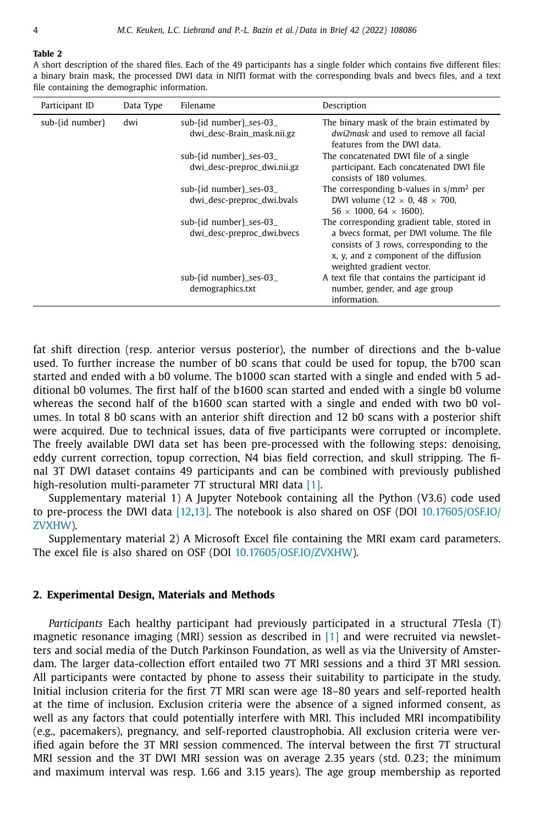#### <span id="page-3-0"></span>**Table 2**

A short description of the shared files. Each of the 49 participants has a single folder which contains five different files: a binary brain mask, the processed DWI data in NIfTI format with the corresponding bvals and bvecs files, and a text file containing the demographic information.

| Participant ID  | Data Type | Filename                                               | Description                                                                                                                                                                                                |
|-----------------|-----------|--------------------------------------------------------|------------------------------------------------------------------------------------------------------------------------------------------------------------------------------------------------------------|
| sub-{id number} | dwi       | sub-fid number}_ses-03_<br>dwi_desc-Brain_mask.nii.gz  | The binary mask of the brain estimated by<br>dwi2mask and used to remove all facial<br>features from the DWI data.                                                                                         |
|                 |           | sub-{id number}_ses-03_<br>dwi_desc-preproc_dwi.nii.gz | The concatenated DWI file of a single<br>participant. Each concatenated DWI file<br>consists of 180 volumes.                                                                                               |
|                 |           | sub-fid number}_ses-03_<br>dwi_desc-preproc_dwi.bvals  | The corresponding b-values in $s/mm^2$ per<br>DWI volume (12 $\times$ 0, 48 $\times$ 700,<br>$56 \times 1000$ , 64 $\times 1600$ ).                                                                        |
|                 |           | sub-{id number}_ses-03_<br>dwi_desc-preproc_dwi.bvecs  | The corresponding gradient table, stored in<br>a byecs format, per DWI volume. The file<br>consists of 3 rows, corresponding to the<br>x, y, and z component of the diffusion<br>weighted gradient vector. |
|                 |           | sub-fid number}_ses-03_<br>demographics.txt            | A text file that contains the participant id<br>number, gender, and age group<br>information.                                                                                                              |

fat shift direction (resp. anterior versus posterior), the number of directions and the b-value used. To further increase the number of b0 scans that could be used for topup, the b700 scan started and ended with a b0 volume. The b1000 scan started with a single and ended with 5 additional b0 volumes. The first half of the b1600 scan started and ended with a single b0 volume whereas the second half of the b1600 scan started with a single and ended with two b0 volumes. In total 8 b0 scans with an anterior shift direction and 12 b0 scans with a posterior shift were acquired. Due to technical issues, data of five participants were corrupted or incomplete. The freely available DWI data set has been pre-processed with the following steps: denoising, eddy current correction, topup correction, N4 bias field correction, and skull stripping. The final 3T DWI dataset contains 49 participants and can be combined with previously published high-resolution multi-parameter 7T structural MRI data [\[1\].](#page-8-0)

Supplementary material 1) A Jupyter Notebook containing all the Python (V3.6) code used to pre-process the DWI data [\[12,13\].](#page-8-0) The notebook is also shared on OSF (DOI [10.17605/OSF.IO/](https://doi.org/10.17605/OSF.IO/ZVXHW) ZVXHW).

Supplementary material 2) A Microsoft Excel file containing the MRI exam card parameters. The excel file is also shared on OSF (DOI [10.17605/OSF.IO/ZVXHW\)](https://doi.org/10.17605/OSF.IO/ZVXHW).

#### **2. Experimental Design, Materials and Methods**

*Participants* Each healthy participant had previously participated in a structural 7Tesla (T) magnetic resonance imaging (MRI) session as described in [\[1\]](#page-8-0) and were recruited via newsletters and social media of the Dutch Parkinson Foundation, as well as via the University of Amsterdam. The larger data-collection effort entailed two 7T MRI sessions and a third 3T MRI session. All participants were contacted by phone to assess their suitability to participate in the study. Initial inclusion criteria for the first 7T MRI scan were age 18–80 years and self-reported health at the time of inclusion. Exclusion criteria were the absence of a signed informed consent, as well as any factors that could potentially interfere with MRI. This included MRI incompatibility (e.g., pacemakers), pregnancy, and self-reported claustrophobia. All exclusion criteria were verified again before the 3T MRI session commenced. The interval between the first 7T structural MRI session and the 3T DWI MRI session was on average 2.35 years (std. 0.23; the minimum and maximum interval was resp. 1.66 and 3.15 years). The age group membership as reported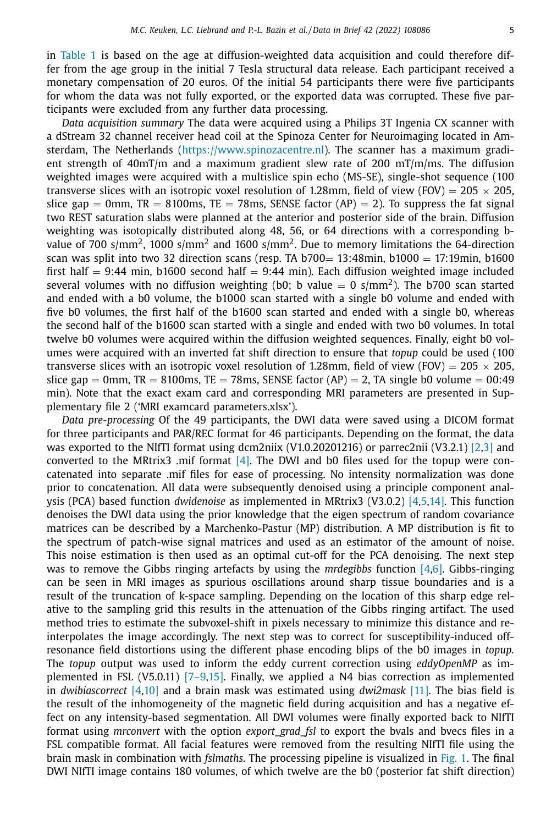in [Table](#page-2-0) 1 is based on the age at diffusion-weighted data acquisition and could therefore differ from the age group in the initial 7 Tesla structural data release. Each participant received a monetary compensation of 20 euros. Of the initial 54 participants there were five participants for whom the data was not fully exported, or the exported data was corrupted. These five participants were excluded from any further data processing.

*Data acquisition summary* The data were acquired using a Philips 3T Ingenia CX scanner with a dStream 32 channel receiver head coil at the Spinoza Center for Neuroimaging located in Amsterdam, The Netherlands [\(https://www.spinozacentre.nl\)](https://www.spinozacentre.nl). The scanner has a maximum gradient strength of  $40mT/m$  and a maximum gradient slew rate of 200  $mT/m/ms$ . The diffusion weighted images were acquired with a multislice spin echo (MS-SE), single-shot sequence (100 transverse slices with an isotropic voxel resolution of 1.28mm, field of view (FOV) =  $205 \times 205$ , slice gap = 0mm, TR = 8100ms, TE = 78ms, SENSE factor (AP) = 2). To suppress the fat signal two REST saturation slabs were planned at the anterior and posterior side of the brain. Diffusion weighting was isotopically distributed along 48, 56, or 64 directions with a corresponding bvalue of 700 s/mm<sup>2</sup>, 1000 s/mm<sup>2</sup> and 1600 s/mm<sup>2</sup>. Due to memory limitations the 64-direction scan was split into two 32 direction scans (resp. TA b700=  $13:48$ min, b1000 = 17:19min, b1600 first half  $= 9:44$  min, b1600 second half  $= 9:44$  min). Each diffusion weighted image included several volumes with no diffusion weighting (b0; b value = 0 s/mm<sup>2</sup>). The b700 scan started and ended with a b0 volume, the b1000 scan started with a single b0 volume and ended with five b0 volumes, the first half of the b1600 scan started and ended with a single b0, whereas the second half of the b1600 scan started with a single and ended with two b0 volumes. In total twelve b0 volumes were acquired within the diffusion weighted sequences. Finally, eight b0 volumes were acquired with an inverted fat shift direction to ensure that *topup* could be used (100 transverse slices with an isotropic voxel resolution of 1.28mm, field of view (FOV) =  $205 \times 205$ , slice gap = 0mm, TR = 8100ms, TE = 78ms, SENSE factor (AP) = 2, TA single b0 volume = 00:49 min). Note that the exact exam card and corresponding MRI parameters are presented in Supplementary file 2 ('MRI examcard parameters.xlsx').

*Data pre-processing* Of the 49 participants, the DWI data were saved using a DICOM format for three participants and PAR/REC format for 46 participants. Depending on the format, the data was exported to the NIfTI format using dcm2niix (V1.0.20201216) or parrec2nii (V3.2.1) [\[2,3\]](#page-8-0) and converted to the MRtrix3 .mif format  $[4]$ . The DWI and b0 files used for the topup were concatenated into separate .mif files for ease of processing. No intensity normalization was done prior to concatenation. All data were subsequently denoised using a principle component analysis (PCA) based function *dwidenoise* as implemented in MRtrix3 (V3.0.2) [\[4,5,14\].](#page-8-0) This function denoises the DWI data using the prior knowledge that the eigen spectrum of random covariance matrices can be described by a Marchenko-Pastur (MP) distribution. A MP distribution is fit to the spectrum of patch-wise signal matrices and used as an estimator of the amount of noise. This noise estimation is then used as an optimal cut-off for the PCA denoising. The next step was to remove the Gibbs ringing artefacts by using the *mrdegibbs* function [\[4,6\].](#page-8-0) Gibbs-ringing can be seen in MRI images as spurious oscillations around sharp tissue boundaries and is a result of the truncation of k-space sampling. Depending on the location of this sharp edge relative to the sampling grid this results in the attenuation of the Gibbs ringing artifact. The used method tries to estimate the subvoxel-shift in pixels necessary to minimize this distance and reinterpolates the image accordingly. The next step was to correct for susceptibility-induced offresonance field distortions using the different phase encoding blips of the b0 images in *topup.* The *topup* output was used to inform the eddy current correction using *eddyOpenMP* as implemented in FSL (V5.0.11) [\[7–9,15\].](#page-8-0) Finally, we applied a N4 bias correction as implemented in *dwibiascorrect* [\[4,10\]](#page-8-0) and a brain mask was estimated using *dwi2mask* [\[11\].](#page-8-0) The bias field is the result of the inhomogeneity of the magnetic field during acquisition and has a negative effect on any intensity-based segmentation. All DWI volumes were finally exported back to NIfTI format using *mrconvert* with the option *export\_grad\_fsl* to export the bvals and bvecs files in a FSL compatible format. All facial features were removed from the resulting NIfTI file using the brain mask in combination with *fslmaths*. The processing pipeline is visualized in [Fig.](#page-5-0) 1. The final DWI NIfTI image contains 180 volumes, of which twelve are the b0 (posterior fat shift direction)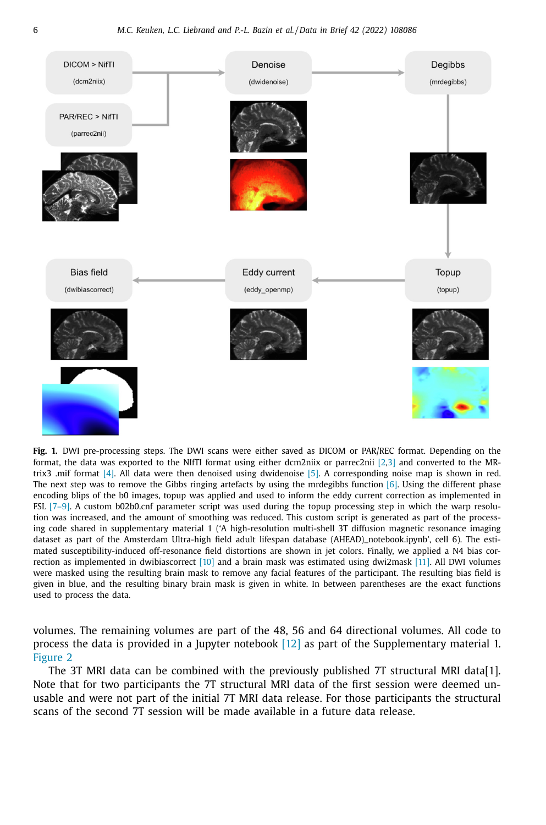<span id="page-5-0"></span>

**Fig. 1.** DWI pre-processing steps. The DWI scans were either saved as DICOM or PAR/REC format. Depending on the format, the data was exported to the NIfTI format using either dcm2niix or parrec2nii  $[2,3]$  and converted to the MRtrix3 .mif format [\[4\].](#page-8-0) All data were then denoised using dwidenoise [\[5\].](#page-8-0) A corresponding noise map is shown in red. The next step was to remove the Gibbs ringing artefacts by using the mrdegibbs function [\[6\].](#page-8-0) Using the different phase encoding blips of the b0 images, topup was applied and used to inform the eddy current correction as implemented in FSL [\[7–9\].](#page-8-0) A custom b02b0.cnf parameter script was used during the topup processing step in which the warp resolution was increased, and the amount of smoothing was reduced. This custom script is generated as part of the processing code shared in supplementary material 1 ('A high-resolution multi-shell 3T diffusion magnetic resonance imaging dataset as part of the Amsterdam Ultra-high field adult lifespan database (AHEAD)\_notebook.ipynb', cell 6). The estimated susceptibility-induced off-resonance field distortions are shown in jet colors. Finally, we applied a N4 bias correction as implemented in dwibiascorrect [\[10\]](#page-8-0) and a brain mask was estimated using dwi2mask [\[11\].](#page-8-0) All DWI volumes were masked using the resulting brain mask to remove any facial features of the participant. The resulting bias field is given in blue, and the resulting binary brain mask is given in white. In between parentheses are the exact functions used to process the data.

volumes. The remaining volumes are part of the 48, 56 and 64 directional volumes. All code to process the data is provided in a Jupyter notebook [\[12\]](#page-8-0) as part of the Supplementary material 1. [Figure](#page-6-0) 2

The 3T MRI data can be combined with the previously published 7T structural MRI data[1]. Note that for two participants the 7T structural MRI data of the first session were deemed unusable and were not part of the initial 7T MRI data release. For those participants the structural scans of the second 7T session will be made available in a future data release.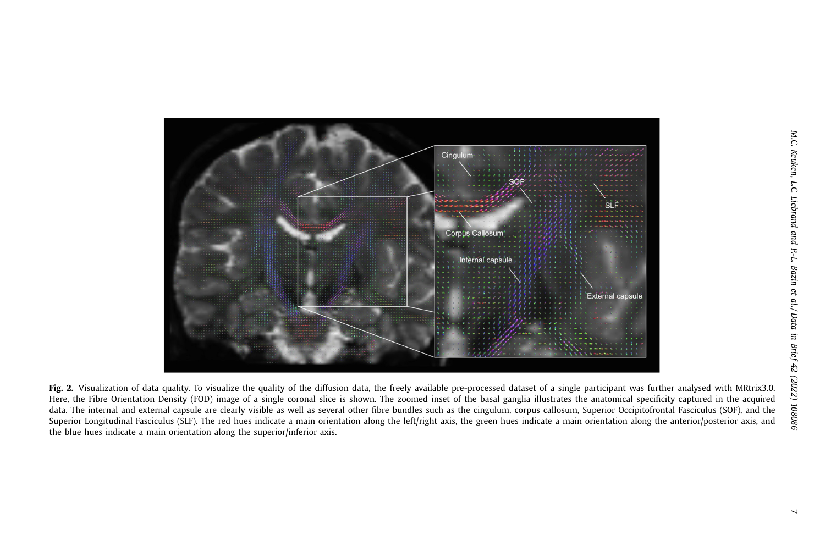<span id="page-6-0"></span>

Fig. 2. Visualization of data quality. To visualize the quality of the diffusion data, the freely available pre-processed dataset of a single participant was further analysed with MRtrix3.0. Here, the Fibre Orientation Density (FOD) image of <sup>a</sup> single coronal slice is shown. The zoomed inset of the basal ganglia illustrates the anatomical specificity captured in the acquired data. The internal and external capsule are clearly visible as well as several other fibre bundles such as the cingulum, corpus callosum, Superior Occipitofrontal Fasciculus (SOF), and the Superior Longitudinal Fasciculus (SLF). The red hues indicate a main orientation along the left/right axis, the green hues indicate a main orientation along the anterior/posterior axis, and the blue hues indicate <sup>a</sup> main orientation along the superior/inferior axis.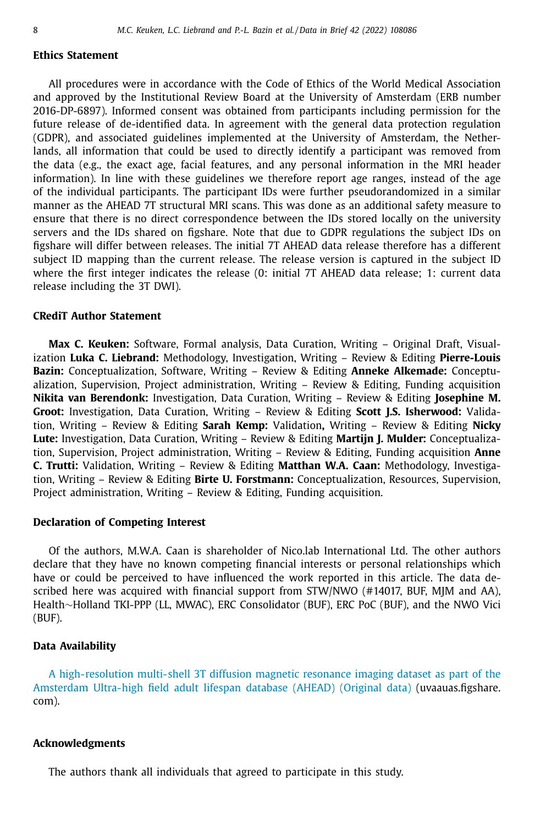## **Ethics Statement**

All procedures were in accordance with the Code of Ethics of the World Medical Association and approved by the Institutional Review Board at the University of Amsterdam (ERB number 2016-DP-6897). Informed consent was obtained from participants including permission for the future release of de-identified data. In agreement with the general data protection regulation (GDPR), and associated guidelines implemented at the University of Amsterdam, the Netherlands, all information that could be used to directly identify a participant was removed from the data (e.g., the exact age, facial features, and any personal information in the MRI header information). In line with these guidelines we therefore report age ranges, instead of the age of the individual participants. The participant IDs were further pseudorandomized in a similar manner as the AHEAD 7T structural MRI scans. This was done as an additional safety measure to ensure that there is no direct correspondence between the IDs stored locally on the university servers and the IDs shared on figshare. Note that due to GDPR regulations the subject IDs on figshare will differ between releases. The initial 7T AHEAD data release therefore has a different subject ID mapping than the current release. The release version is captured in the subject ID where the first integer indicates the release (0: initial 7T AHEAD data release; 1: current data release including the 3T DWI).

## **CRediT Author Statement**

**Max C. Keuken:** Software, Formal analysis, Data Curation, Writing – Original Draft, Visualization **Luka C. Liebrand:** Methodology, Investigation, Writing – Review & Editing **Pierre-Louis Bazin:** Conceptualization, Software, Writing – Review & Editing **Anneke Alkemade:** Conceptualization, Supervision, Project administration, Writing – Review & Editing, Funding acquisition **Nikita van Berendonk:** Investigation, Data Curation, Writing – Review & Editing **Josephine M. Groot:** Investigation, Data Curation, Writing – Review & Editing **Scott J.S. Isherwood:** Validation, Writing – Review & Editing **Sarah Kemp:** Validation**,** Writing – Review & Editing **Nicky Lute:** Investigation, Data Curation, Writing – Review & Editing **Martijn J. Mulder:** Conceptualization, Supervision, Project administration, Writing – Review & Editing, Funding acquisition **Anne C. Trutti:** Validation, Writing – Review & Editing **Matthan W.A. Caan:** Methodology, Investigation, Writing – Review & Editing **Birte U. Forstmann:** Conceptualization, Resources, Supervision, Project administration, Writing – Review & Editing, Funding acquisition.

## **Declaration of Competing Interest**

Of the authors, M.W.A. Caan is shareholder of Nico.lab International Ltd. The other authors declare that they have no known competing financial interests or personal relationships which have or could be perceived to have influenced the work reported in this article. The data described here was acquired with financial support from STW/NWO (#14017, BUF, MJM and AA), Health∼Holland TKI-PPP (LL, MWAC), ERC Consolidator (BUF), ERC PoC (BUF), and the NWO Vici (BUF).

#### **Data Availability**

A high-resolution multi-shell 3T diffusion magnetic resonance imaging dataset as part of the Amsterdam Ultra-high field adult lifespan database (AHEAD) (Original data) [\(uvaauas.figshare.](https://uvaauas.figshare.com/projects/A_high-resolution_multi-shell_3T_diffusion_magnetic_resonance_imaging_dataset_as_part_of_the_Amsterdam_Ultra-high_field_adult_lifespan_database_AHEAD_/125377) com).

# **Acknowledgments**

The authors thank all individuals that agreed to participate in this study.